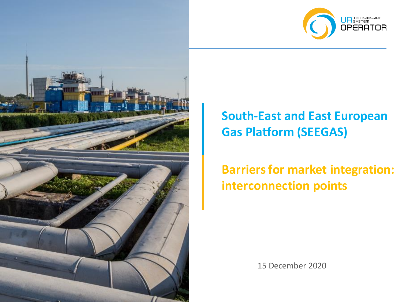



# **South-East and East European Gas Platform (SEEGAS)**

# **Barriers for market integration: interconnection points**

15 December 2020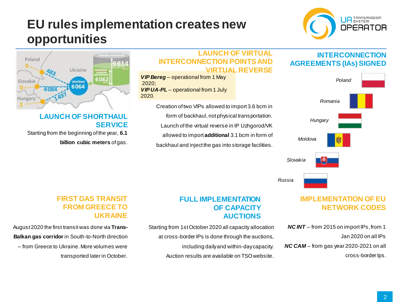## **EU rules implementation creates new opportunities**





### **LAUNCH OF SHORTHAUL SERVICE**

Starting from the beginning of the year, **6.1 billion cubic meters** of gas.

#### **LAUNCH OF VIRTUAL INTERCONNECTION POINTS AND VIRTUAL REVERSE**

*VIP Bereg* – operational from 1 May 2020; *VIP UA-PL – operational from 1 July* 2020.

> Creation of two VIPs allowed to import 3.6 bcm in form of backhaul, not physical transportation. Launch of the virtual reverse in IP Uzhgorod/VK allowed to import **additional** 3.1 bcm in form of backhaul and inject the gas into storage facilities.

### **INTERCONNECTION AGREEMENTS (IAs) SIGNED**



## **IMPLEMENTATION OF EU NETWORK CODES**

*NC INT* – from 2015 on import IPs, from 1 Jan 2020 on all IPs

*NC CAM* – from gas year 2020-2021 on all cross-border Ips.

#### **FULL IMPLEMENTATION OF CAPACITY AUCTIONS**

Starting from 1st October 2020 all capacity allocation at cross-border IPs is done through the auctions, including daily and within-day capacity. Auction results are available on TSO website.

#### **FIRST GAS TRANSIT FROM GREECE TO UKRAINE**

August 2020 the first transit was done via **Trans-Balkan gas corridor** in South-to-North direction – from Greece to Ukraine.More volumes were transported later in October.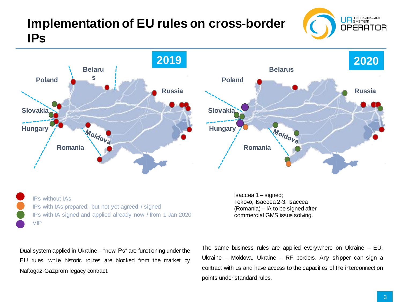## **Implementation of EU rules on cross-border IPs**





IPs without IAs IPs with IAs prepared, but not yet agreed / signed IPs with IA signed and applied already now / from 1 Jan 2020 VIP

Isaccea 1 – signed; Tekovo, Isaccea 2-3, Isaccea (Romania) – IA to be signed after commercial GMS issue solving.

Dual system applied in Ukraine – "new IPs" are functioning under the EU rules, while historic routes are blocked from the market by Naftogaz-Gazprom legacy contract.

The same business rules are applied everywhere on Ukraine – EU, Ukraine – Moldova, Ukraine – RF borders. Any shipper can sign a contract with us and have access to the capacities of the interconnection points under standard rules.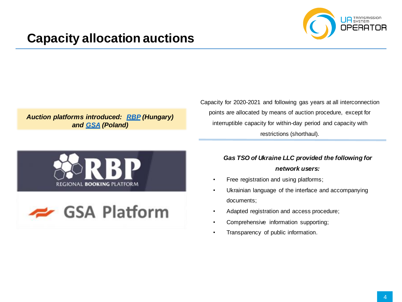

## **Capacity allocation auctions**

*Auction platforms introduced: [RBP](https://ipnew.rbp.eu/RBP.eu/#capacityauctions) (Hungary) and [GSA](https://gsaplatform.eu/auctions?tab=P) (Poland)*





Capacity for 2020-2021 and following gas years at all interconnection points are allocated by means of auction procedure, except for interruptible capacity for within-day period and capacity with restrictions (shorthaul).

#### *Gas TSO of Ukraine LLC provided the following for network users:*

- Free registration and using platforms;
- Ukrainian language of the interface and accompanying documents;
- Adapted registration and access procedure;
- Comprehensive information supporting;
- Transparency of public information.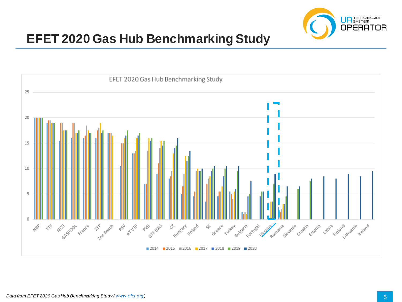

## **EFET 2020 Gas Hub Benchmarking Study**

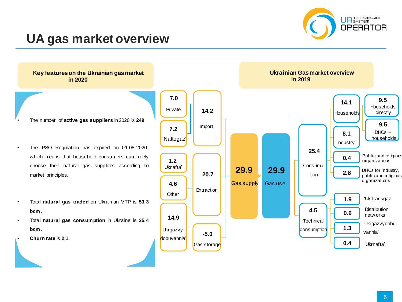

## **UA gas market overview**

**Key features on the Ukrainian gas market in 2020**

- The number of **active gas suppliers** in 2020 is **249**.
- The PSO Regulation has expired on 01.08.2020, which means that household consumers can freely choose their natural gas suppliers according to market principles.
- Total **natural gas traded** on Ukrainian VTP is **53,3 bcm.**
- Total **natural gas consumption** in Ukraine is **25,4 bcm.**
- **Churn rate** is **2,1.**

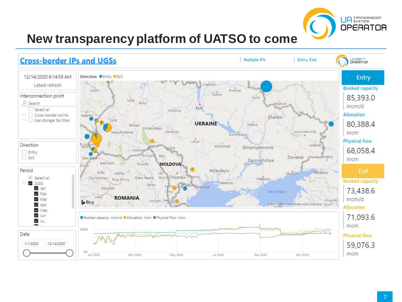

# **New transparency platform of UATSO to come**

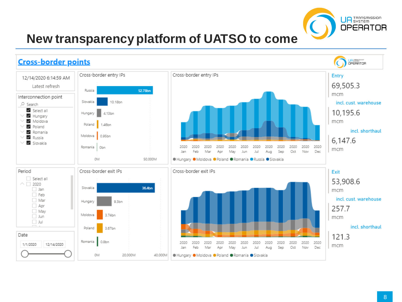

# **New transparency platform of UATSO to come**